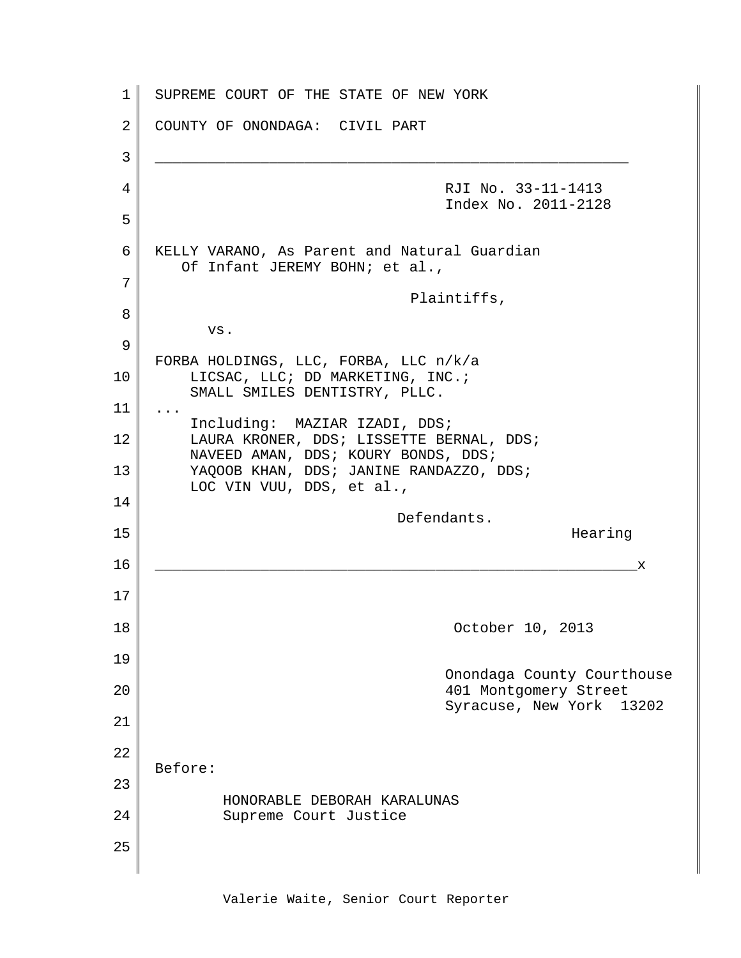1 2 3 4 5 6 7 8 9 10 11 12 13 14 15 16 17 18 19 20 21 22 23 24 25 SUPREME COURT OF THE STATE OF NEW YORK COUNTY OF ONONDAGA: CIVIL PART \_\_\_\_\_\_\_\_\_\_\_\_\_\_\_\_\_\_\_\_\_\_\_\_\_\_\_\_\_\_\_\_\_\_\_\_\_\_\_\_\_\_\_\_\_\_\_\_\_\_\_\_\_\_ RJI No. 33-11-1413 Index No. 2011-2128 KELLY VARANO, As Parent and Natural Guardian Of Infant JEREMY BOHN; et al., Plaintiffs, vs. FORBA HOLDINGS, LLC, FORBA, LLC n/k/a LICSAC, LLC; DD MARKETING, INC.; SMALL SMILES DENTISTRY, PLLC. ... Including: MAZIAR IZADI, DDS; LAURA KRONER, DDS; LISSETTE BERNAL, DDS; NAVEED AMAN, DDS; KOURY BONDS, DDS; YAQOOB KHAN, DDS; JANINE RANDAZZO, DDS; LOC VIN VUU, DDS, et al., Defendants. Hearing \_\_\_\_\_\_\_\_\_\_\_\_\_\_\_\_\_\_\_\_\_\_\_\_\_\_\_\_\_\_\_\_\_\_\_\_\_\_\_\_\_\_\_\_\_\_\_\_\_\_\_\_\_\_\_x October 10, 2013 Onondaga County Courthouse 401 Montgomery Street Syracuse, New York 13202 Before: HONORABLE DEBORAH KARALUNAS Supreme Court Justice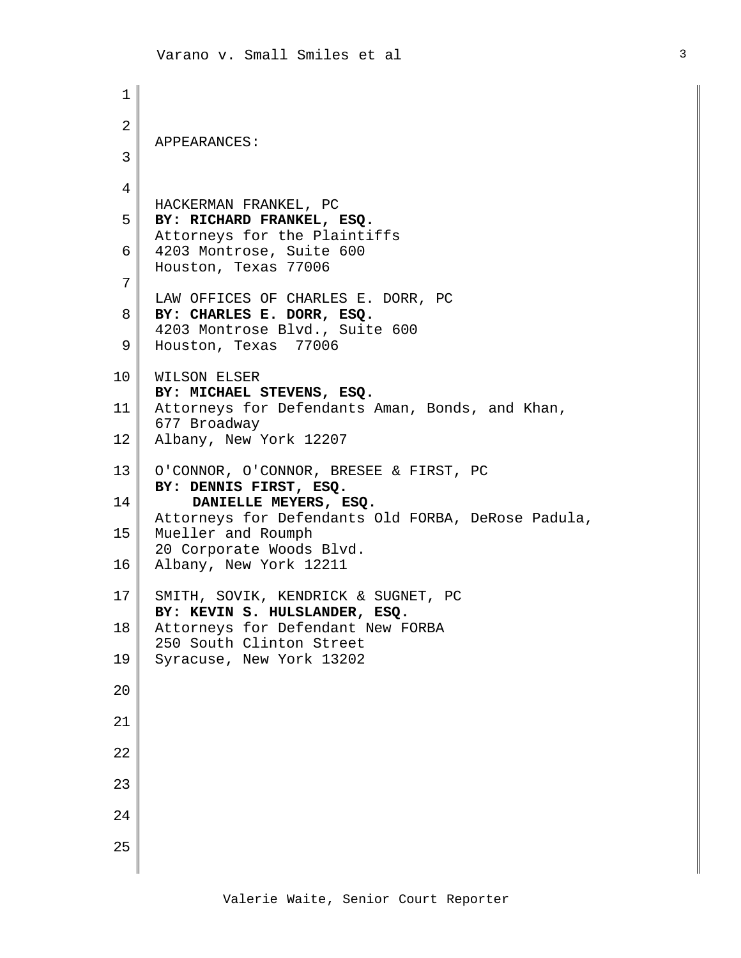```
1
 2
 3
 4
 5
 6
7
 8
 9
10
11
12
13
14
15
16
17
18
19
20
21
22
23
24
25
    APPEARANCES:
    HACKERMAN FRANKEL, PC
    BY: RICHARD FRANKEL, ESQ.
    Attorneys for the Plaintiffs
    4203 Montrose, Suite 600
    Houston, Texas 77006
    LAW OFFICES OF CHARLES E. DORR, PC
    BY: CHARLES E. DORR, ESQ.
    4203 Montrose Blvd., Suite 600
    Houston, Texas 77006
    WILSON ELSER
    BY: MICHAEL STEVENS, ESQ.
    Attorneys for Defendants Aman, Bonds, and Khan,
    677 Broadway
    Albany, New York 12207
    O'CONNOR, O'CONNOR, BRESEE & FIRST, PC
    BY: DENNIS FIRST, ESQ.
         DANIELLE MEYERS, ESQ.
    Attorneys for Defendants Old FORBA, DeRose Padula,
    Mueller and Roumph
     20 Corporate Woods Blvd.
    Albany, New York 12211
    SMITH, SOVIK, KENDRICK & SUGNET, PC
    BY: KEVIN S. HULSLANDER, ESQ.
    Attorneys for Defendant New FORBA
    250 South Clinton Street
    Syracuse, New York 13202
```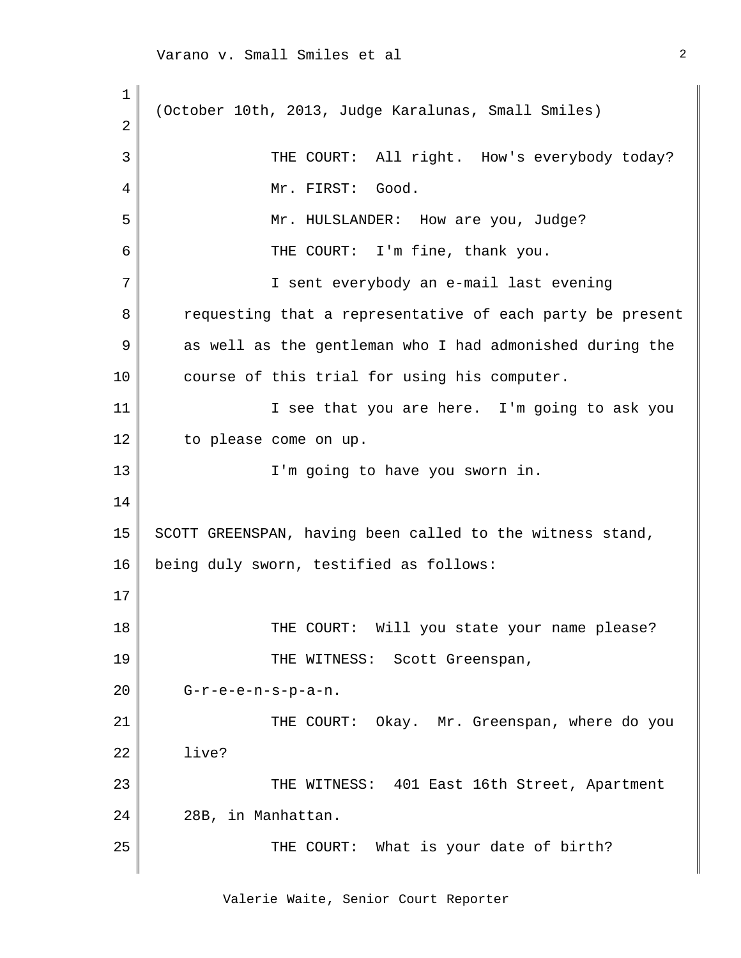1 2 3 4 5 6 7 8 9 10 11 12 13 14 15 16 17 18 19 20 21 22 23 24 25 (October 10th, 2013, Judge Karalunas, Small Smiles) THE COURT: All right. How's everybody today? Mr. FIRST: Good. Mr. HULSLANDER: How are you, Judge? THE COURT: I'm fine, thank you. I sent everybody an e-mail last evening requesting that a representative of each party be present as well as the gentleman who I had admonished during the course of this trial for using his computer. I see that you are here. I'm going to ask you to please come on up. I'm going to have you sworn in. SCOTT GREENSPAN, having been called to the witness stand, being duly sworn, testified as follows: THE COURT: Will you state your name please? THE WITNESS: Scott Greenspan, G-r-e-e-n-s-p-a-n. THE COURT: Okay. Mr. Greenspan, where do you live? THE WITNESS: 401 East 16th Street, Apartment 28B, in Manhattan. THE COURT: What is your date of birth?

Valerie Waite, Senior Court Reporter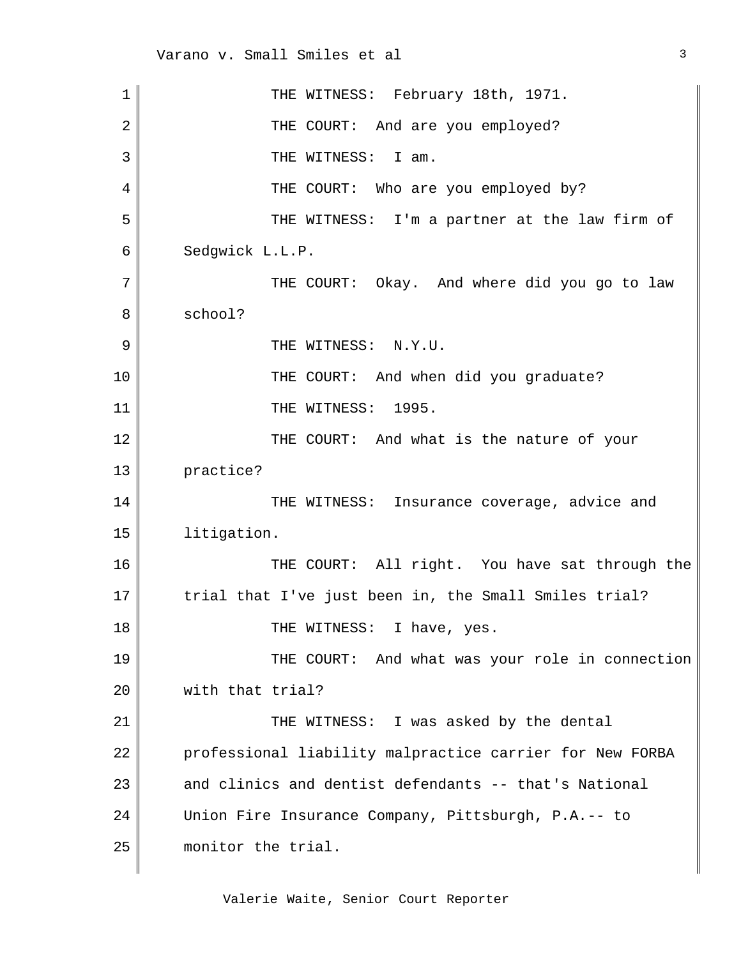| $\mathbf 1$    | THE WITNESS: February 18th, 1971.                        |
|----------------|----------------------------------------------------------|
| $\overline{2}$ | THE COURT: And are you employed?                         |
| 3              | THE WITNESS: I am.                                       |
| 4              | THE COURT: Who are you employed by?                      |
| 5              | THE WITNESS: I'm a partner at the law firm of            |
| 6              | Sedgwick L.L.P.                                          |
| 7              | THE COURT: Okay. And where did you go to law             |
| 8              | school?                                                  |
| 9              | THE WITNESS: N.Y.U.                                      |
| 10             | THE COURT: And when did you graduate?                    |
| 11             | THE WITNESS:<br>1995.                                    |
| 12             | THE COURT: And what is the nature of your                |
| 13             | practice?                                                |
| 14             | Insurance coverage, advice and<br>THE WITNESS:           |
| 15             | litigation.                                              |
| 16             | THE COURT: All right. You have sat through the           |
| 17             | trial that I've just been in, the Small Smiles trial?    |
| 18             | THE WITNESS: I have, yes.                                |
| 19             | THE COURT: And what was your role in connection          |
| 20             | with that trial?                                         |
| 21             | THE WITNESS: I was asked by the dental                   |
| 22             | professional liability malpractice carrier for New FORBA |
| 23             | and clinics and dentist defendants -- that's National    |
| 24             | Union Fire Insurance Company, Pittsburgh, P.A.-- to      |
| 25             | monitor the trial.                                       |
|                |                                                          |

3

Valerie Waite, Senior Court Reporter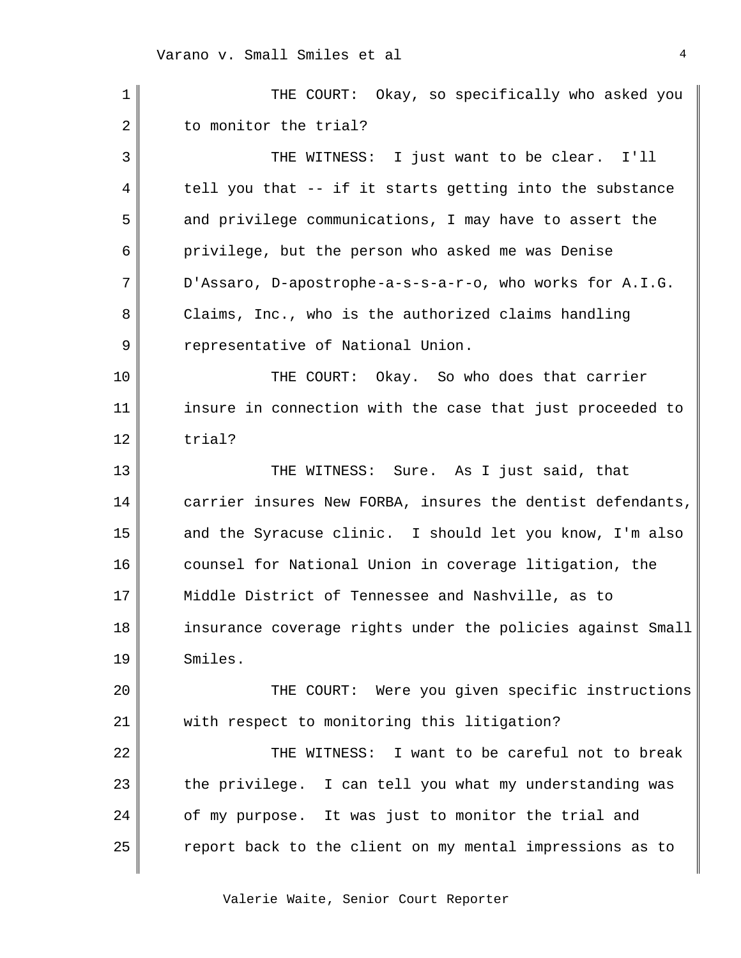| 1  | THE COURT: Okay, so specifically who asked you             |
|----|------------------------------------------------------------|
| 2  | to monitor the trial?                                      |
| 3  | THE WITNESS: I just want to be clear. I'll                 |
| 4  | tell you that -- if it starts getting into the substance   |
| 5  | and privilege communications, I may have to assert the     |
| 6  | privilege, but the person who asked me was Denise          |
| 7  | D'Assaro, D-apostrophe-a-s-s-a-r-o, who works for A.I.G.   |
| 8  | Claims, Inc., who is the authorized claims handling        |
| 9  | representative of National Union.                          |
| 10 | THE COURT: Okay. So who does that carrier                  |
| 11 | insure in connection with the case that just proceeded to  |
| 12 | trial?                                                     |
| 13 | THE WITNESS: Sure. As I just said, that                    |
| 14 | carrier insures New FORBA, insures the dentist defendants, |
| 15 | and the Syracuse clinic. I should let you know, I'm also   |
| 16 | counsel for National Union in coverage litigation, the     |
| 17 | Middle District of Tennessee and Nashville, as to          |
| 18 | insurance coverage rights under the policies against Small |
| 19 | Smiles.                                                    |
| 20 | THE COURT: Were you given specific instructions            |
| 21 | with respect to monitoring this litigation?                |
| 22 | THE WITNESS: I want to be careful not to break             |
| 23 | the privilege. I can tell you what my understanding was    |
| 24 | of my purpose. It was just to monitor the trial and        |
| 25 | report back to the client on my mental impressions as to   |
|    |                                                            |

Valerie Waite, Senior Court Reporter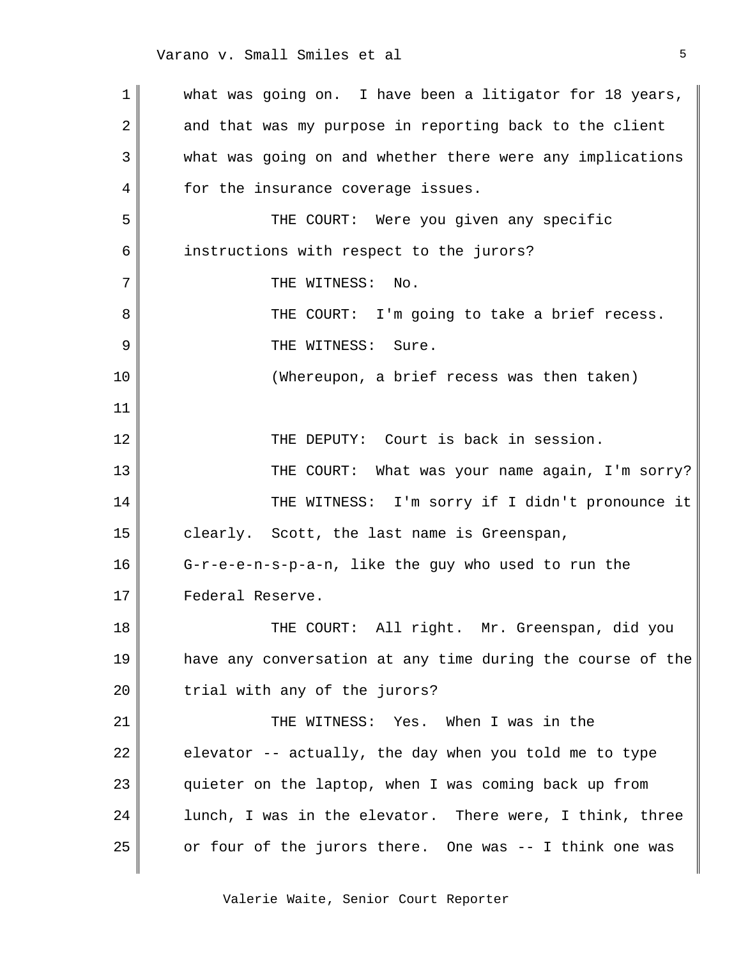1 2 3 4 5 6 7 8 9 10 11 12 13 14 15 16 17 18 19 20 21 22 23 24 25 what was going on. I have been a litigator for 18 years, and that was my purpose in reporting back to the client what was going on and whether there were any implications for the insurance coverage issues. THE COURT: Were you given any specific instructions with respect to the jurors? THE WITNESS: No. THE COURT: I'm going to take a brief recess. THE WITNESS: Sure. (Whereupon, a brief recess was then taken) THE DEPUTY: Court is back in session. THE COURT: What was your name again, I'm sorry? THE WITNESS: I'm sorry if I didn't pronounce it clearly. Scott, the last name is Greenspan, G-r-e-e-n-s-p-a-n, like the guy who used to run the Federal Reserve. THE COURT: All right. Mr. Greenspan, did you have any conversation at any time during the course of the trial with any of the jurors? THE WITNESS: Yes. When I was in the elevator -- actually, the day when you told me to type quieter on the laptop, when I was coming back up from lunch, I was in the elevator. There were, I think, three or four of the jurors there. One was -- I think one was

Valerie Waite, Senior Court Reporter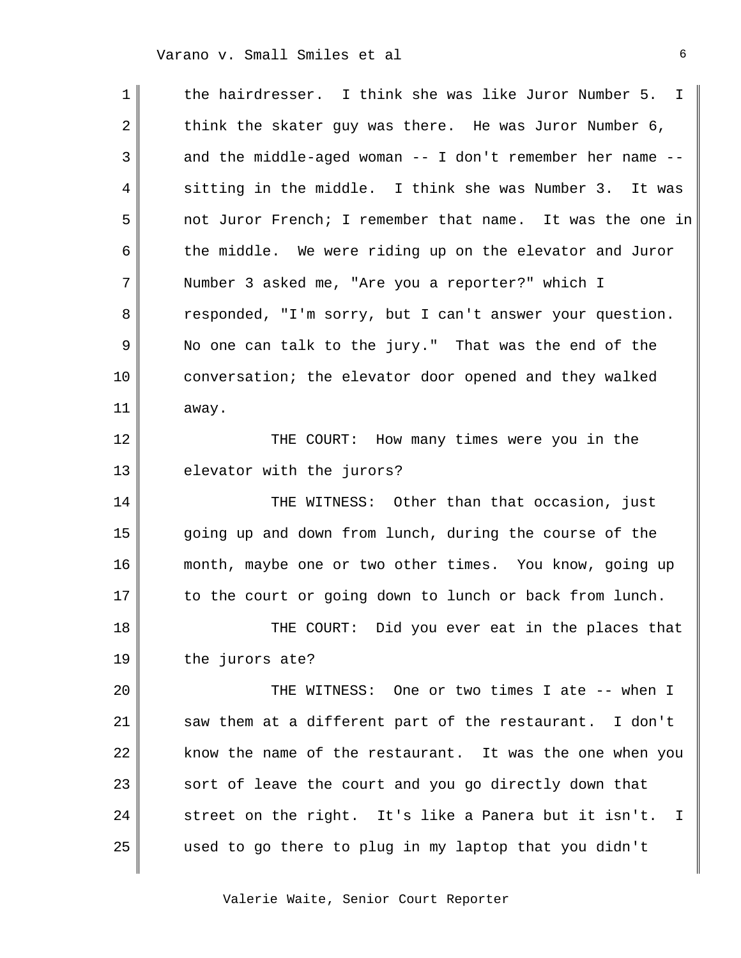| 1  | the hairdresser. I think she was like Juror Number 5. I               |
|----|-----------------------------------------------------------------------|
| 2  | think the skater guy was there. He was Juror Number 6,                |
| 3  | and the middle-aged woman -- I don't remember her name --             |
| 4  | sitting in the middle. I think she was Number 3. It was               |
| 5  | not Juror French; I remember that name. It was the one in             |
| 6  | the middle. We were riding up on the elevator and Juror               |
| 7  | Number 3 asked me, "Are you a reporter?" which I                      |
| 8  | responded, "I'm sorry, but I can't answer your question.              |
| 9  | No one can talk to the jury." That was the end of the                 |
| 10 | conversation; the elevator door opened and they walked                |
| 11 | away.                                                                 |
| 12 | THE COURT: How many times were you in the                             |
| 13 | elevator with the jurors?                                             |
| 14 | THE WITNESS: Other than that occasion, just                           |
| 15 | going up and down from lunch, during the course of the                |
| 16 | month, maybe one or two other times. You know, going up               |
| 17 | to the court or going down to lunch or back from lunch.               |
| 18 | THE COURT: Did you ever eat in the places that                        |
| 19 | the jurors ate?                                                       |
| 20 | THE WITNESS: One or two times I ate -- when I                         |
| 21 | saw them at a different part of the restaurant. I don't               |
| 22 | know the name of the restaurant. It was the one when you              |
| 23 | sort of leave the court and you go directly down that                 |
| 24 | street on the right. It's like a Panera but it isn't.<br>$\mathbf{I}$ |
| 25 | used to go there to plug in my laptop that you didn't                 |
|    |                                                                       |

Valerie Waite, Senior Court Reporter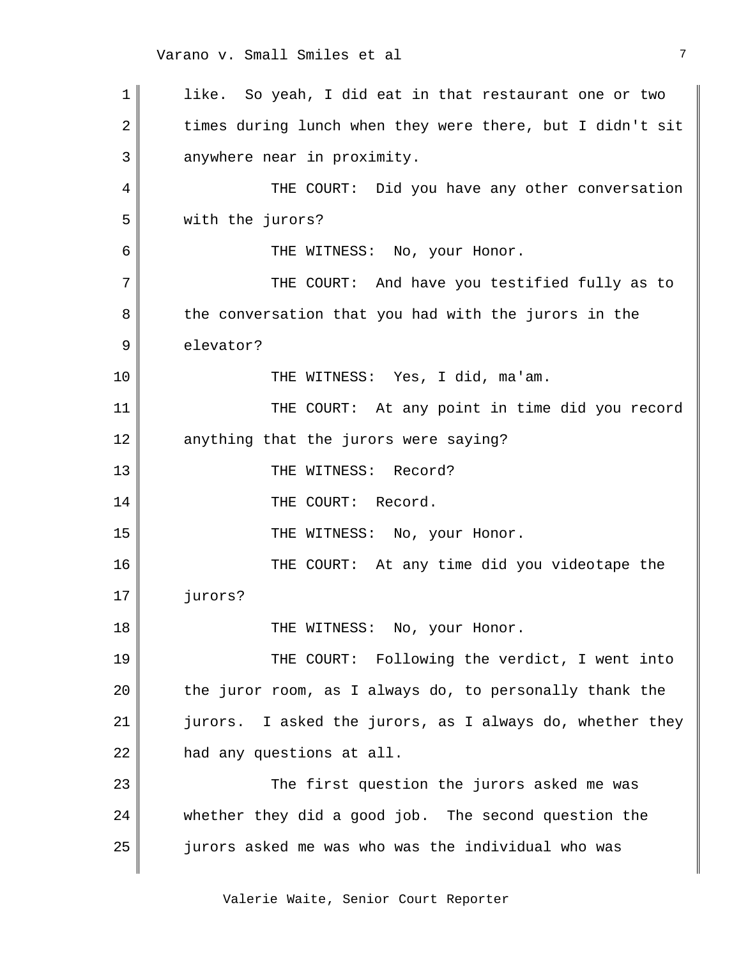1 2 3 4 5 6 7 8 9 10 11 12 13 14 15 16 17 18 19 20 21 22 23 24 25 like. So yeah, I did eat in that restaurant one or two times during lunch when they were there, but I didn't sit anywhere near in proximity. THE COURT: Did you have any other conversation with the jurors? THE WITNESS: No, your Honor. THE COURT: And have you testified fully as to the conversation that you had with the jurors in the elevator? THE WITNESS: Yes, I did, ma'am. THE COURT: At any point in time did you record anything that the jurors were saying? THE WITNESS: Record? THE COURT: Record. THE WITNESS: No, your Honor. THE COURT: At any time did you videotape the jurors? THE WITNESS: No, your Honor. THE COURT: Following the verdict, I went into the juror room, as I always do, to personally thank the jurors. I asked the jurors, as I always do, whether they had any questions at all. The first question the jurors asked me was whether they did a good job. The second question the jurors asked me was who was the individual who was

Valerie Waite, Senior Court Reporter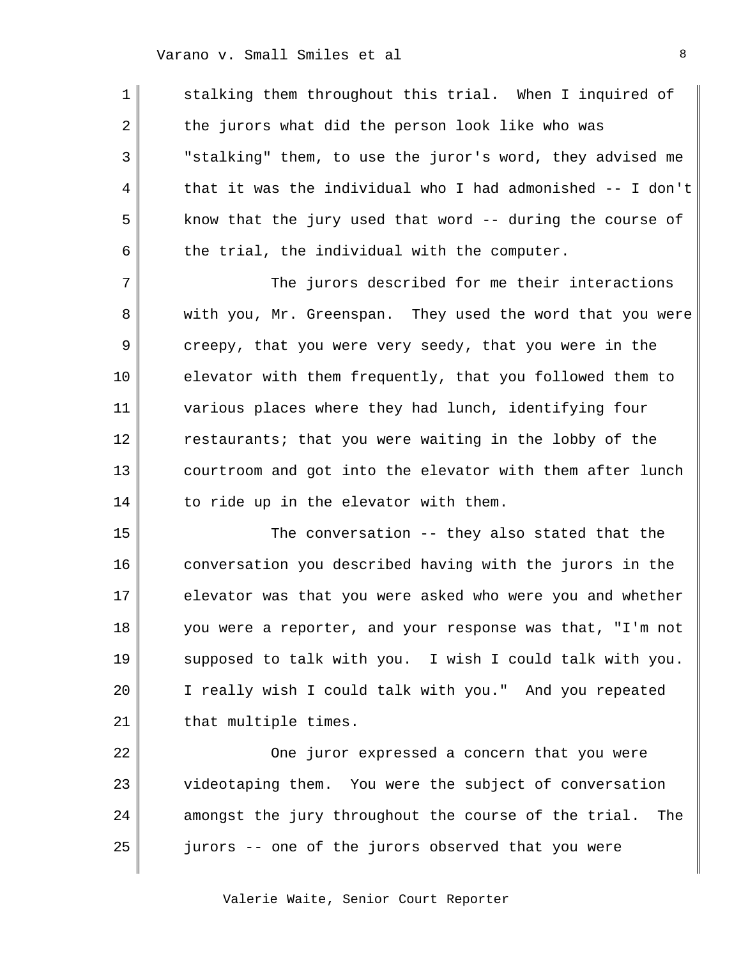1

2

3

4

5

6

7

8

9

10

11

12

13

14

stalking them throughout this trial. When I inquired of the jurors what did the person look like who was "stalking" them, to use the juror's word, they advised me that it was the individual who I had admonished -- I don't know that the jury used that word -- during the course of the trial, the individual with the computer.

The jurors described for me their interactions with you, Mr. Greenspan. They used the word that you were creepy, that you were very seedy, that you were in the elevator with them frequently, that you followed them to various places where they had lunch, identifying four restaurants; that you were waiting in the lobby of the courtroom and got into the elevator with them after lunch to ride up in the elevator with them.

15 16 17 18 19 20 21 The conversation -- they also stated that the conversation you described having with the jurors in the elevator was that you were asked who were you and whether you were a reporter, and your response was that, "I'm not supposed to talk with you. I wish I could talk with you. I really wish I could talk with you." And you repeated that multiple times.

22 23 24 25 One juror expressed a concern that you were videotaping them. You were the subject of conversation amongst the jury throughout the course of the trial. The jurors -- one of the jurors observed that you were

Valerie Waite, Senior Court Reporter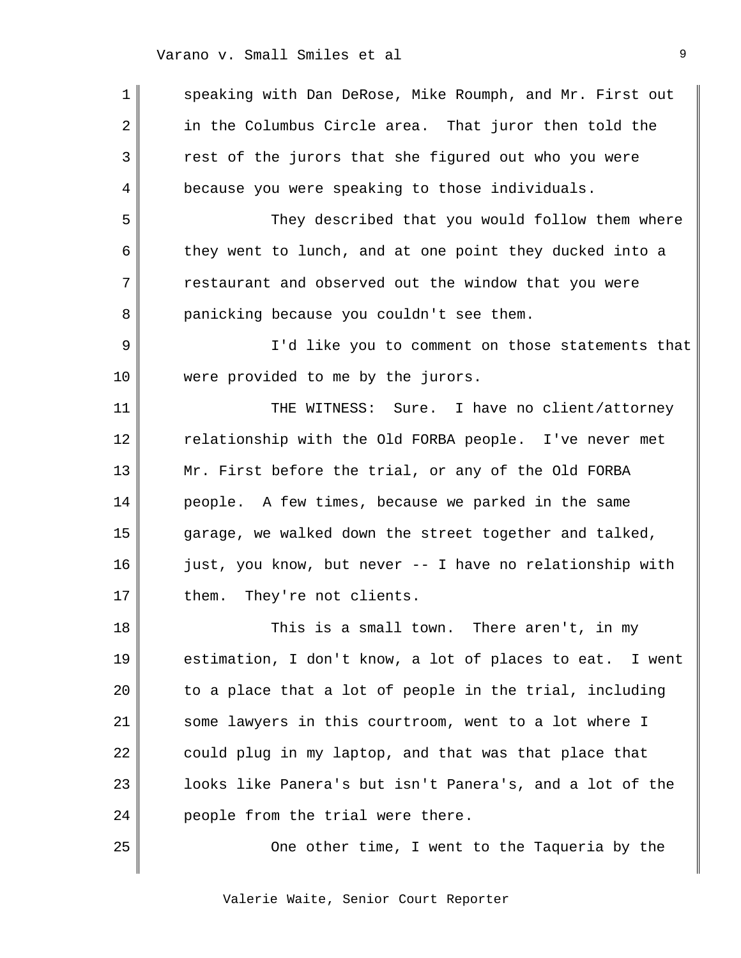| 1  | speaking with Dan DeRose, Mike Roumph, and Mr. First out |
|----|----------------------------------------------------------|
| 2  | in the Columbus Circle area. That juror then told the    |
| 3  | rest of the jurors that she figured out who you were     |
| 4  | because you were speaking to those individuals.          |
| 5  | They described that you would follow them where          |
| 6  | they went to lunch, and at one point they ducked into a  |
| 7  | restaurant and observed out the window that you were     |
| 8  | panicking because you couldn't see them.                 |
| 9  | I'd like you to comment on those statements that         |
| 10 | were provided to me by the jurors.                       |
| 11 | THE WITNESS: Sure. I have no client/attorney             |
| 12 | relationship with the Old FORBA people. I've never met   |
| 13 | Mr. First before the trial, or any of the Old FORBA      |
| 14 | people. A few times, because we parked in the same       |
| 15 | garage, we walked down the street together and talked,   |
| 16 | just, you know, but never -- I have no relationship with |
| 17 | They're not clients.<br>them.                            |
| 18 | This is a small town. There aren't, in my                |
| 19 | estimation, I don't know, a lot of places to eat. I went |
| 20 | to a place that a lot of people in the trial, including  |
| 21 | some lawyers in this courtroom, went to a lot where I    |
| 22 | could plug in my laptop, and that was that place that    |
| 23 | looks like Panera's but isn't Panera's, and a lot of the |
| 24 | people from the trial were there.                        |
| 25 | One other time, I went to the Taqueria by the            |
|    |                                                          |

Valerie Waite, Senior Court Reporter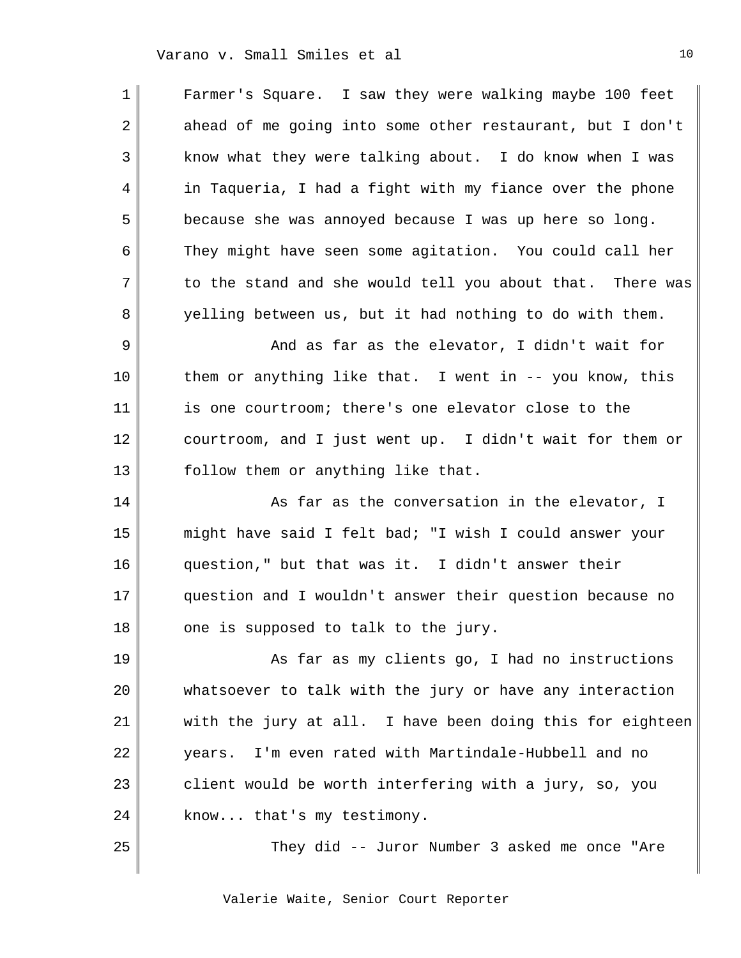1 2 3 4 5 6 7 8 9 10 11 12 13 14 15 16 17 18 19  $2.0$ 21 22 23 24 25 Farmer's Square. I saw they were walking maybe 100 feet ahead of me going into some other restaurant, but I don't know what they were talking about. I do know when I was in Taqueria, I had a fight with my fiance over the phone because she was annoyed because I was up here so long. They might have seen some agitation. You could call her to the stand and she would tell you about that. There was yelling between us, but it had nothing to do with them. And as far as the elevator, I didn't wait for them or anything like that. I went in -- you know, this is one courtroom; there's one elevator close to the courtroom, and I just went up. I didn't wait for them or follow them or anything like that. As far as the conversation in the elevator, I might have said I felt bad; "I wish I could answer your question," but that was it. I didn't answer their question and I wouldn't answer their question because no one is supposed to talk to the jury. As far as my clients go, I had no instructions whatsoever to talk with the jury or have any interaction with the jury at all. I have been doing this for eighteen years. I'm even rated with Martindale-Hubbell and no client would be worth interfering with a jury, so, you know... that's my testimony. They did -- Juror Number 3 asked me once "Are

Valerie Waite, Senior Court Reporter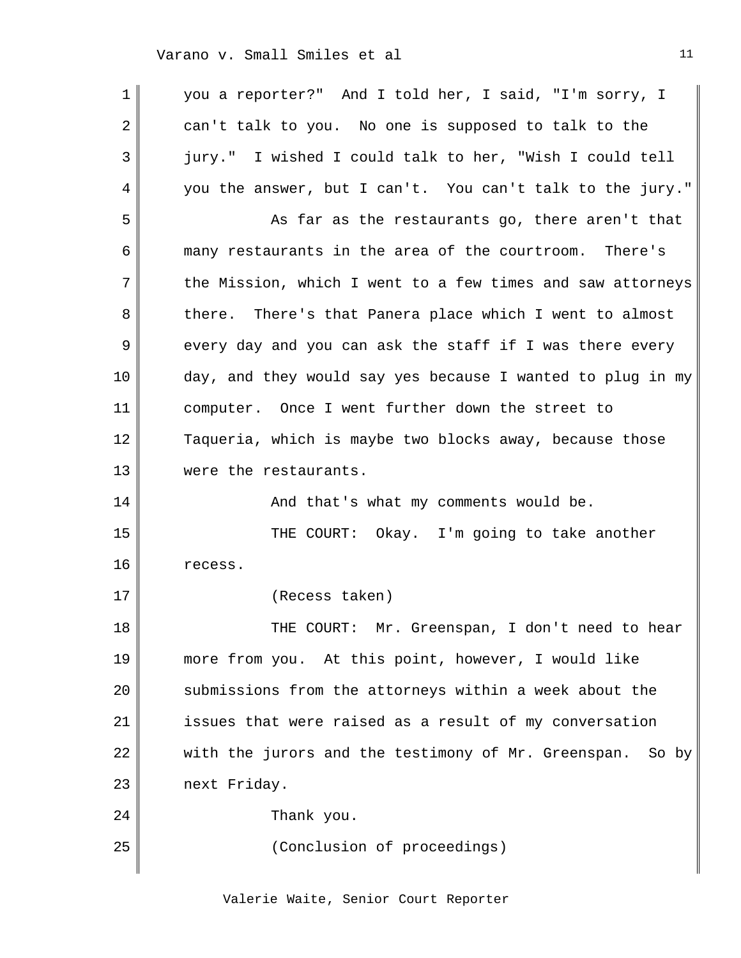1 2 3 4 5 6 7 8 9 10 11 12 13 14 15 16 17 18 19  $2.0$ 21 22 23 24 25 you a reporter?" And I told her, I said, "I'm sorry, I can't talk to you. No one is supposed to talk to the jury." I wished I could talk to her, "Wish I could tell you the answer, but I can't. You can't talk to the jury." As far as the restaurants go, there aren't that many restaurants in the area of the courtroom. There's the Mission, which I went to a few times and saw attorneys there. There's that Panera place which I went to almost every day and you can ask the staff if I was there every day, and they would say yes because I wanted to plug in my computer. Once I went further down the street to Taqueria, which is maybe two blocks away, because those were the restaurants. And that's what my comments would be. THE COURT: Okay. I'm going to take another recess. (Recess taken) THE COURT: Mr. Greenspan, I don't need to hear more from you. At this point, however, I would like submissions from the attorneys within a week about the issues that were raised as a result of my conversation with the jurors and the testimony of Mr. Greenspan. So by next Friday. Thank you. (Conclusion of proceedings)

Valerie Waite, Senior Court Reporter